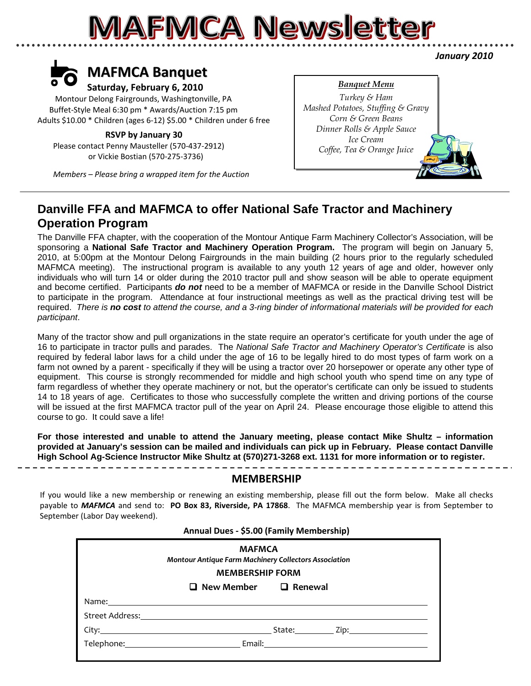### **MAFMCA Newsletter**



 Montour Delong Fairgrounds, Washingtonville, PA Buffet‐Style Meal 6:30 pm \* Awards/Auction 7:15 pm Adults \$10.00 \* Children (ages 6‐12) \$5.00 \* Children under 6 free

#### **RSVP by January 30**

 Please contact Penny Mausteller (570‐437‐2912) or Vickie Bostian (570‐275‐3736)

 *Members – Please bring a wrapped item for the Auction*

#### *Banquet Menu*

*Turkey & Ham Mashed Potatoes, Stuffing & Gravy Corn & Green Beans Dinner Rolls & Apple Sauce Ice Cream Coffee, Tea & Orange Juice*

#### **Danville FFA and MAFMCA to offer National Safe Tractor and Machinery Operation Program**

The Danville FFA chapter, with the cooperation of the Montour Antique Farm Machinery Collector's Association, will be sponsoring a **National Safe Tractor and Machinery Operation Program.** The program will begin on January 5, 2010, at 5:00pm at the Montour Delong Fairgrounds in the main building (2 hours prior to the regularly scheduled MAFMCA meeting). The instructional program is available to any youth 12 years of age and older, however only individuals who will turn 14 or older during the 2010 tractor pull and show season will be able to operate equipment and become certified. Participants *do not* need to be a member of MAFMCA or reside in the Danville School District to participate in the program. Attendance at four instructional meetings as well as the practical driving test will be required. *There is no cost to attend the course, and a 3-ring binder of informational materials will be provided for each participant*.

Many of the tractor show and pull organizations in the state require an operator's certificate for youth under the age of 16 to participate in tractor pulls and parades. The *National Safe Tractor and Machinery Operator's Certificate* is also required by federal labor laws for a child under the age of 16 to be legally hired to do most types of farm work on a farm not owned by a parent - specifically if they will be using a tractor over 20 horsepower or operate any other type of equipment. This course is strongly recommended for middle and high school youth who spend time on any type of farm regardless of whether they operate machinery or not, but the operator's certificate can only be issued to students 14 to 18 years of age. Certificates to those who successfully complete the written and driving portions of the course will be issued at the first MAFMCA tractor pull of the year on April 24. Please encourage those eligible to attend this course to go. It could save a life!

**For those interested and unable to attend the January meeting, please contact Mike Shultz – information provided at January's session can be mailed and individuals can pick up in February. Please contact Danville High School Ag-Science Instructor Mike Shultz at (570)271-3268 ext. 1131 for more information or to register.**

#### **MEMBERSHIP**

If you would like a new membership or renewing an existing membership, please fill out the form below. Make all checks payable to *MAFMCA* and send to: **PO Box 83, Riverside, PA 17868**. The MAFMCA membership year is from September to September (Labor Day weekend).

| Annual Dues - \$5.00 (Family Membership)                                                                                                                                                                                             |  |  |  |
|--------------------------------------------------------------------------------------------------------------------------------------------------------------------------------------------------------------------------------------|--|--|--|
| <b>MAFMCA</b><br><b>Montour Antique Farm Machinery Collectors Association</b><br><b>MEMBERSHIP FORM</b>                                                                                                                              |  |  |  |
| $\Box$ New Member $\Box$ Renewal                                                                                                                                                                                                     |  |  |  |
| Name: <u>2008 - 2008 - 2008 - 2008 - 2008 - 2008 - 2008 - 2008 - 2008 - 2008 - 2008 - 2008 - 2008 - 2008 - 2008 - 2008 - 2008 - 2008 - 2008 - 2008 - 2008 - 2008 - 2008 - 2008 - 2008 - 2008 - 2008 - 2008 - 2008 - 2008 - 2008 </u> |  |  |  |
|                                                                                                                                                                                                                                      |  |  |  |
|                                                                                                                                                                                                                                      |  |  |  |
|                                                                                                                                                                                                                                      |  |  |  |
|                                                                                                                                                                                                                                      |  |  |  |